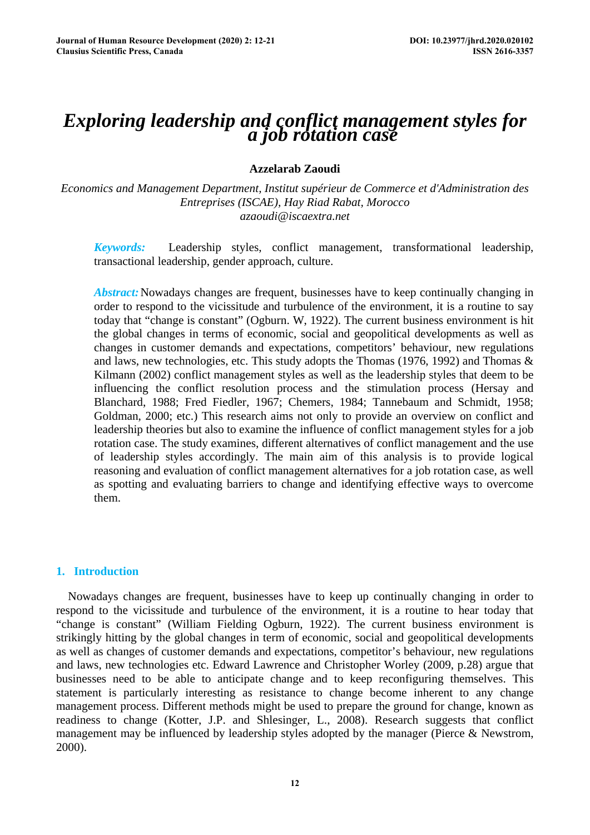# *Exploring leadership and conflict management styles for a job rotation case*

## **Azzelarab Zaoudi**

*Economics and Management Department, Institut supérieur de Commerce et d'Administration des Entreprises (ISCAE), Hay Riad Rabat, Morocco azaoudi@iscaextra.net* 

*Keywords:* Leadership styles, conflict management, transformational leadership, transactional leadership, gender approach, culture.

*Abstract:* Nowadays changes are frequent, businesses have to keep continually changing in order to respond to the vicissitude and turbulence of the environment, it is a routine to say today that "change is constant" (Ogburn. W, 1922). The current business environment is hit the global changes in terms of economic, social and geopolitical developments as well as changes in customer demands and expectations, competitors' behaviour, new regulations and laws, new technologies, etc. This study adopts the Thomas (1976, 1992) and Thomas & Kilmann (2002) conflict management styles as well as the leadership styles that deem to be influencing the conflict resolution process and the stimulation process (Hersay and Blanchard, 1988; Fred Fiedler, 1967; Chemers, 1984; Tannebaum and Schmidt, 1958; Goldman, 2000; etc.) This research aims not only to provide an overview on conflict and leadership theories but also to examine the influence of conflict management styles for a job rotation case. The study examines, different alternatives of conflict management and the use of leadership styles accordingly. The main aim of this analysis is to provide logical reasoning and evaluation of conflict management alternatives for a job rotation case, as well as spotting and evaluating barriers to change and identifying effective ways to overcome them.

## **1. Introduction**

Nowadays changes are frequent, businesses have to keep up continually changing in order to respond to the vicissitude and turbulence of the environment, it is a routine to hear today that "change is constant" (William Fielding Ogburn, 1922). The current business environment is strikingly hitting by the global changes in term of economic, social and geopolitical developments as well as changes of customer demands and expectations, competitor's behaviour, new regulations and laws, new technologies etc. Edward Lawrence and Christopher Worley (2009, p.28) argue that businesses need to be able to anticipate change and to keep reconfiguring themselves. This statement is particularly interesting as resistance to change become inherent to any change management process. Different methods might be used to prepare the ground for change, known as readiness to change (Kotter, J.P. and Shlesinger, L., 2008). Research suggests that conflict management may be influenced by leadership styles adopted by the manager (Pierce & Newstrom, 2000).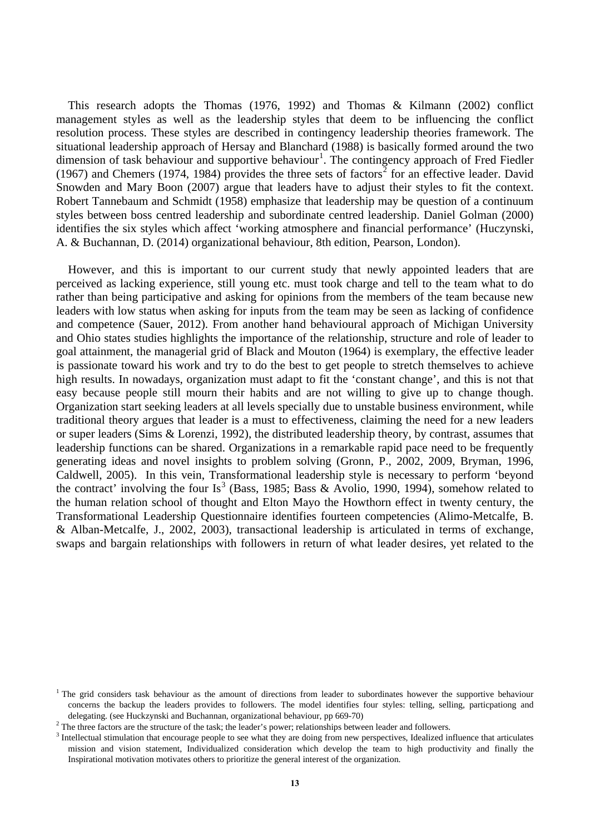This research adopts the Thomas (1976, 1992) and Thomas & Kilmann (2002) conflict management styles as well as the leadership styles that deem to be influencing the conflict resolution process. These styles are described in contingency leadership theories framework. The situational leadership approach of Hersay and Blanchard (1988) is basically formed around the two dimension of task behaviour and supportive behaviour<sup>[1](#page-1-0)</sup>. The contingency approach of Fred Fiedler (1967) and Chemers (1974, 1984) provides the three sets of factors<sup>[2](#page-1-1)</sup> for an effective leader. David Snowden and Mary Boon (2007) argue that leaders have to adjust their styles to fit the context. Robert Tannebaum and Schmidt (1958) emphasize that leadership may be question of a continuum styles between boss centred leadership and subordinate centred leadership. Daniel Golman (2000) identifies the six styles which affect 'working atmosphere and financial performance' (Huczynski, A. & Buchannan, D. (2014) organizational behaviour, 8th edition, Pearson, London).

However, and this is important to our current study that newly appointed leaders that are perceived as lacking experience, still young etc. must took charge and tell to the team what to do rather than being participative and asking for opinions from the members of the team because new leaders with low status when asking for inputs from the team may be seen as lacking of confidence and competence (Sauer, 2012). From another hand behavioural approach of Michigan University and Ohio states studies highlights the importance of the relationship, structure and role of leader to goal attainment, the managerial grid of Black and Mouton (1964) is exemplary, the effective leader is passionate toward his work and try to do the best to get people to stretch themselves to achieve high results. In nowadays, organization must adapt to fit the 'constant change', and this is not that easy because people still mourn their habits and are not willing to give up to change though. Organization start seeking leaders at all levels specially due to unstable business environment, while traditional theory argues that leader is a must to effectiveness, claiming the need for a new leaders or super leaders (Sims & Lorenzi, 1992), the distributed leadership theory, by contrast, assumes that leadership functions can be shared. Organizations in a remarkable rapid pace need to be frequently generating ideas and novel insights to problem solving (Gronn, P., 2002, 2009, Bryman, 1996, Caldwell, 2005). In this vein, Transformational leadership style is necessary to perform 'beyond the contract' involving the four Is<sup>[3](#page-1-2)</sup> (Bass, 1985; Bass & Avolio, 1990, 1994), somehow related to the human relation school of thought and Elton Mayo the Howthorn effect in twenty century, the Transformational Leadership Questionnaire identifies fourteen competencies (Alimo-Metcalfe, B. & Alban-Metcalfe, J., 2002, 2003), transactional leadership is articulated in terms of exchange, swaps and bargain relationships with followers in return of what leader desires, yet related to the

<span id="page-1-0"></span> $<sup>1</sup>$  The grid considers task behaviour as the amount of directions from leader to subordinates however the supportive behaviour</sup> concerns the backup the leaders provides to followers. The model identifies four styles: telling, selling, particpationg and delegating. (see Huckzynski and Buchannan, organizational behaviour, pp 669-70) <sup>2</sup> The three factors are the structure of the task; the leader's power; relationships between leader and followers.

<span id="page-1-2"></span><span id="page-1-1"></span><sup>&</sup>lt;sup>3</sup> Intellectual stimulation that encourage people to see what they are doing from new perspectives, Idealized influence that articulates mission and vision statement, Individualized consideration which develop the team to high productivity and finally the Inspirational motivation motivates others to prioritize the general interest of the organization.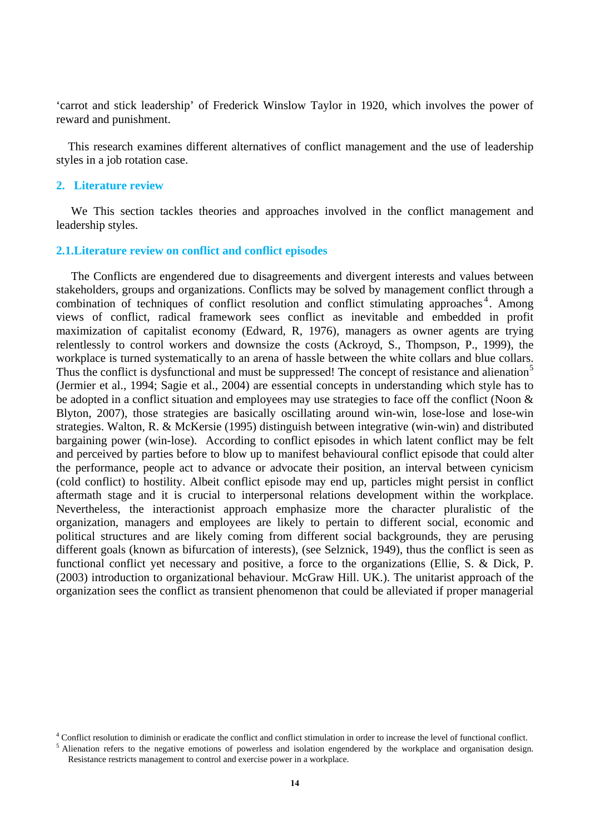'carrot and stick leadership' of Frederick Winslow Taylor in 1920, which involves the power of reward and punishment.

This research examines different alternatives of conflict management and the use of leadership styles in a job rotation case.

#### **2. Literature review**

We This section tackles theories and approaches involved in the conflict management and leadership styles.

#### **2.1.Literature review on conflict and conflict episodes**

The Conflicts are engendered due to disagreements and divergent interests and values between stakeholders, groups and organizations. Conflicts may be solved by management conflict through a combination of techniques of conflict resolution and conflict stimulating approaches<sup>[4](#page-2-0)</sup>. Among views of conflict, radical framework sees conflict as inevitable and embedded in profit maximization of capitalist economy (Edward, R, 1976), managers as owner agents are trying relentlessly to control workers and downsize the costs (Ackroyd, S., Thompson, P., 1999), the workplace is turned systematically to an arena of hassle between the white collars and blue collars. Thus the conflict is dysfunctional and must be suppressed! The concept of resistance and alienation<sup>[5](#page-2-1)</sup> (Jermier et al., 1994; Sagie et al., 2004) are essential concepts in understanding which style has to be adopted in a conflict situation and employees may use strategies to face off the conflict (Noon & Blyton, 2007), those strategies are basically oscillating around win-win, lose-lose and lose-win strategies. Walton, R. & McKersie (1995) distinguish between integrative (win-win) and distributed bargaining power (win-lose). According to conflict episodes in which latent conflict may be felt and perceived by parties before to blow up to manifest behavioural conflict episode that could alter the performance, people act to advance or advocate their position, an interval between cynicism (cold conflict) to hostility. Albeit conflict episode may end up, particles might persist in conflict aftermath stage and it is crucial to interpersonal relations development within the workplace. Nevertheless, the interactionist approach emphasize more the character pluralistic of the organization, managers and employees are likely to pertain to different social, economic and political structures and are likely coming from different social backgrounds, they are perusing different goals (known as bifurcation of interests), (see Selznick, 1949), thus the conflict is seen as functional conflict yet necessary and positive, a force to the organizations (Ellie, S. & Dick, P. (2003) introduction to organizational behaviour. McGraw Hill. UK.). The unitarist approach of the organization sees the conflict as transient phenomenon that could be alleviated if proper managerial

<span id="page-2-0"></span><sup>4</sup> Conflict resolution to diminish or eradicate the conflict and conflict stimulation in order to increase the level of functional conflict.

<span id="page-2-1"></span><sup>&</sup>lt;sup>5</sup> Alienation refers to the negative emotions of powerless and isolation engendered by the workplace and organisation design. Resistance restricts management to control and exercise power in a workplace.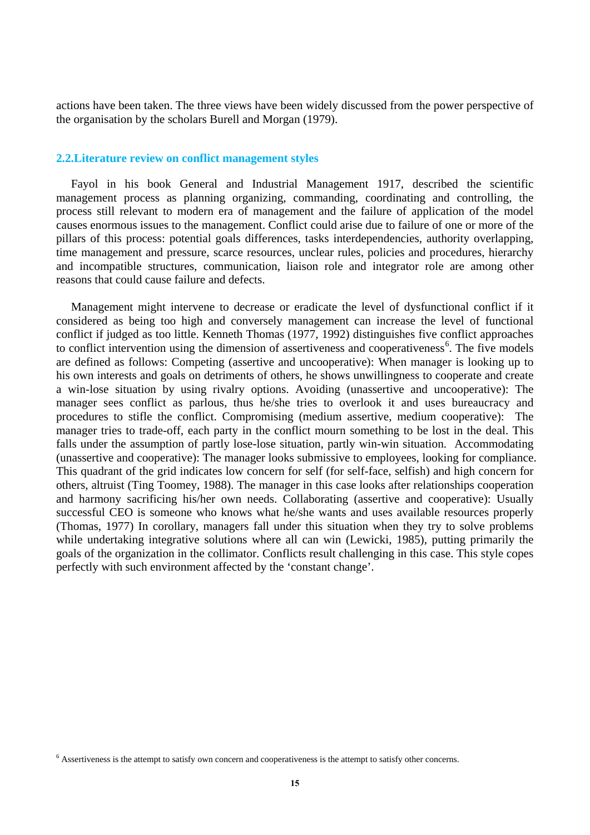actions have been taken. The three views have been widely discussed from the power perspective of the organisation by the scholars Burell and Morgan (1979).

#### **2.2.Literature review on conflict management styles**

Fayol in his book General and Industrial Management 1917, described the scientific management process as planning organizing, commanding, coordinating and controlling, the process still relevant to modern era of management and the failure of application of the model causes enormous issues to the management. Conflict could arise due to failure of one or more of the pillars of this process: potential goals differences, tasks interdependencies, authority overlapping, time management and pressure, scarce resources, unclear rules, policies and procedures, hierarchy and incompatible structures, communication, liaison role and integrator role are among other reasons that could cause failure and defects.

Management might intervene to decrease or eradicate the level of dysfunctional conflict if it considered as being too high and conversely management can increase the level of functional conflict if judged as too little. Kenneth Thomas (1977, 1992) distinguishes five conflict approaches to conflict intervention using the dimension of assertiveness and cooperativeness<sup>[6](#page-3-0)</sup>. The five models are defined as follows: Competing (assertive and uncooperative): When manager is looking up to his own interests and goals on detriments of others, he shows unwillingness to cooperate and create a win-lose situation by using rivalry options. Avoiding (unassertive and uncooperative): The manager sees conflict as parlous, thus he/she tries to overlook it and uses bureaucracy and procedures to stifle the conflict. Compromising (medium assertive, medium cooperative): The manager tries to trade-off, each party in the conflict mourn something to be lost in the deal. This falls under the assumption of partly lose-lose situation, partly win-win situation. Accommodating (unassertive and cooperative): The manager looks submissive to employees, looking for compliance. This quadrant of the grid indicates low concern for self (for self-face, selfish) and high concern for others, altruist (Ting Toomey, 1988). The manager in this case looks after relationships cooperation and harmony sacrificing his/her own needs. Collaborating (assertive and cooperative): Usually successful CEO is someone who knows what he/she wants and uses available resources properly (Thomas, 1977) In corollary, managers fall under this situation when they try to solve problems while undertaking integrative solutions where all can win (Lewicki, 1985), putting primarily the goals of the organization in the collimator. Conflicts result challenging in this case. This style copes perfectly with such environment affected by the 'constant change'.

<span id="page-3-0"></span><sup>6</sup> Assertiveness is the attempt to satisfy own concern and cooperativeness is the attempt to satisfy other concerns.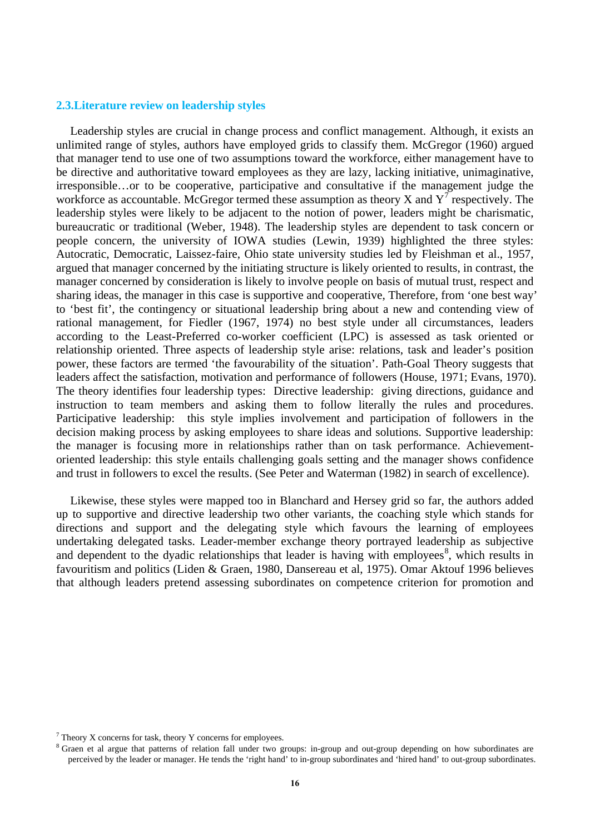### **2.3.Literature review on leadership styles**

Leadership styles are crucial in change process and conflict management. Although, it exists an unlimited range of styles, authors have employed grids to classify them. McGregor (1960) argued that manager tend to use one of two assumptions toward the workforce, either management have to be directive and authoritative toward employees as they are lazy, lacking initiative, unimaginative, irresponsible…or to be cooperative, participative and consultative if the management judge the workforce as accountable. McGregor termed these assumption as theory X and  $Y<sup>T</sup>$  respectively. The leadership styles were likely to be adjacent to the notion of power, leaders might be charismatic, bureaucratic or traditional (Weber, 1948). The leadership styles are dependent to task concern or people concern, the university of IOWA studies (Lewin, 1939) highlighted the three styles: Autocratic, Democratic, Laissez-faire, Ohio state university studies led by Fleishman et al., 1957, argued that manager concerned by the initiating structure is likely oriented to results, in contrast, the manager concerned by consideration is likely to involve people on basis of mutual trust, respect and sharing ideas, the manager in this case is supportive and cooperative, Therefore, from 'one best way' to 'best fit', the contingency or situational leadership bring about a new and contending view of rational management, for Fiedler (1967, 1974) no best style under all circumstances, leaders according to the Least-Preferred co-worker coefficient (LPC) is assessed as task oriented or relationship oriented. Three aspects of leadership style arise: relations, task and leader's position power, these factors are termed 'the favourability of the situation'. Path-Goal Theory suggests that leaders affect the satisfaction, motivation and performance of followers (House, 1971; Evans, 1970). The theory identifies four leadership types: Directive leadership: giving directions, guidance and instruction to team members and asking them to follow literally the rules and procedures. Participative leadership: this style implies involvement and participation of followers in the decision making process by asking employees to share ideas and solutions. Supportive leadership: the manager is focusing more in relationships rather than on task performance. Achievementoriented leadership: this style entails challenging goals setting and the manager shows confidence and trust in followers to excel the results. (See Peter and Waterman (1982) in search of excellence).

Likewise, these styles were mapped too in Blanchard and Hersey grid so far, the authors added up to supportive and directive leadership two other variants, the coaching style which stands for directions and support and the delegating style which favours the learning of employees undertaking delegated tasks. Leader-member exchange theory portrayed leadership as subjective and dependent to the dyadic relationships that leader is having with employees<sup>[8](#page-4-1)</sup>, which results in favouritism and politics (Liden & Graen, 1980, Dansereau et al, 1975). Omar Aktouf 1996 believes that although leaders pretend assessing subordinates on competence criterion for promotion and

<span id="page-4-0"></span> $7$  Theory X concerns for task, theory Y concerns for employees.

<span id="page-4-1"></span><sup>&</sup>lt;sup>8</sup> Graen et al argue that patterns of relation fall under two groups: in-group and out-group depending on how subordinates are perceived by the leader or manager. He tends the 'right hand' to in-group subordinates and 'hired hand' to out-group subordinates.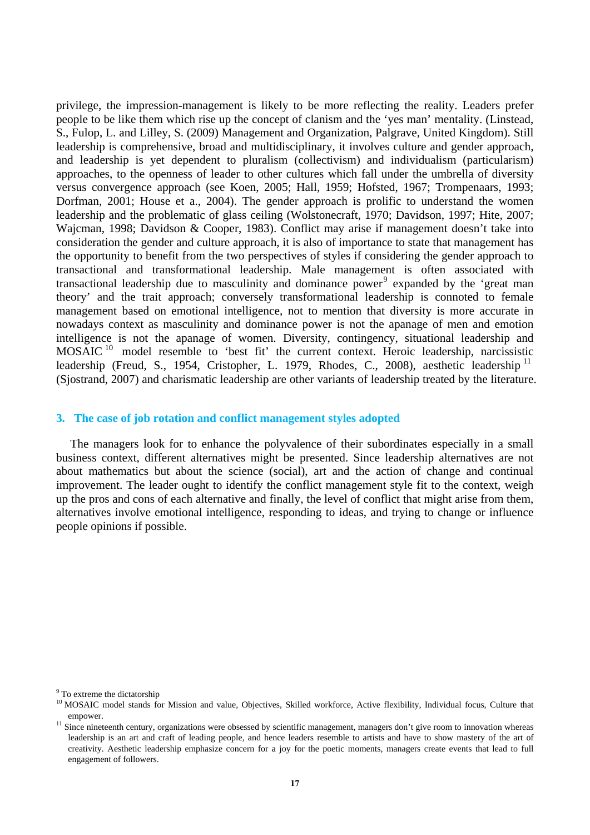privilege, the impression-management is likely to be more reflecting the reality. Leaders prefer people to be like them which rise up the concept of clanism and the 'yes man' mentality. (Linstead, S., Fulop, L. and Lilley, S. (2009) Management and Organization, Palgrave, United Kingdom). Still leadership is comprehensive, broad and multidisciplinary, it involves culture and gender approach, and leadership is yet dependent to pluralism (collectivism) and individualism (particularism) approaches, to the openness of leader to other cultures which fall under the umbrella of diversity versus convergence approach (see Koen, 2005; Hall, 1959; Hofsted, 1967; Trompenaars, 1993; Dorfman, 2001; House et a., 2004). The gender approach is prolific to understand the women leadership and the problematic of glass ceiling (Wolstonecraft, 1970; Davidson, 1997; Hite, 2007; Wajcman, 1998; Davidson & Cooper, 1983). Conflict may arise if management doesn't take into consideration the gender and culture approach, it is also of importance to state that management has the opportunity to benefit from the two perspectives of styles if considering the gender approach to transactional and transformational leadership. Male management is often associated with transactional leadership due to masculinity and dominance power<sup>[9](#page-5-0)</sup> expanded by the 'great man theory' and the trait approach; conversely transformational leadership is connoted to female management based on emotional intelligence, not to mention that diversity is more accurate in nowadays context as masculinity and dominance power is not the apanage of men and emotion intelligence is not the apanage of women. Diversity, contingency, situational leadership and MOSAIC<sup>[10](#page-5-1)</sup> model resemble to 'best fit' the current context. Heroic leadership, narcissistic leadership (Freud, S., 1954, Cristopher, L. 1979, Rhodes, C., 2008), aesthetic leadership <sup>[11](#page-5-2)</sup> (Sjostrand, 2007) and charismatic leadership are other variants of leadership treated by the literature.

## **3. The case of job rotation and conflict management styles adopted**

The managers look for to enhance the polyvalence of their subordinates especially in a small business context, different alternatives might be presented. Since leadership alternatives are not about mathematics but about the science (social), art and the action of change and continual improvement. The leader ought to identify the conflict management style fit to the context, weigh up the pros and cons of each alternative and finally, the level of conflict that might arise from them, alternatives involve emotional intelligence, responding to ideas, and trying to change or influence people opinions if possible.

<span id="page-5-0"></span><sup>&</sup>lt;sup>9</sup> To extreme the dictatorship

<span id="page-5-1"></span><sup>&</sup>lt;sup>10</sup> MOSAIC model stands for Mission and value, Objectives, Skilled workforce, Active flexibility, Individual focus, Culture that

<span id="page-5-2"></span>empower.<br><sup>11</sup> Since nineteenth century, organizations were obsessed by scientific management, managers don't give room to innovation whereas leadership is an art and craft of leading people, and hence leaders resemble to artists and have to show mastery of the art of creativity. Aesthetic leadership emphasize concern for a joy for the poetic moments, managers create events that lead to full engagement of followers.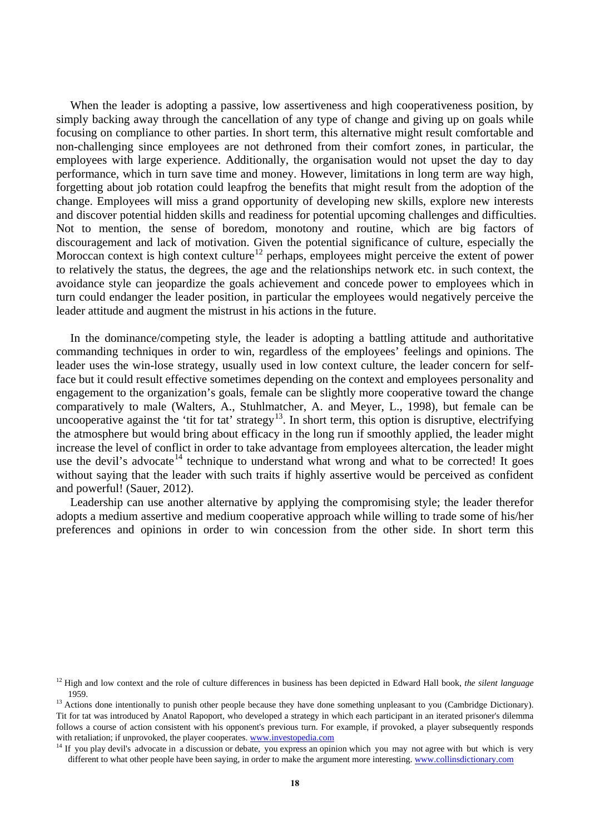When the leader is adopting a passive, low assertiveness and high cooperativeness position, by simply backing away through the cancellation of any type of change and giving up on goals while focusing on compliance to other parties. In short term, this alternative might result comfortable and non-challenging since employees are not dethroned from their comfort zones, in particular, the employees with large experience. Additionally, the organisation would not upset the day to day performance, which in turn save time and money. However, limitations in long term are way high, forgetting about job rotation could leapfrog the benefits that might result from the adoption of the change. Employees will miss a grand opportunity of developing new skills, explore new interests and discover potential hidden skills and readiness for potential upcoming challenges and difficulties. Not to mention, the sense of boredom, monotony and routine, which are big factors of discouragement and lack of motivation. Given the potential significance of culture, especially the Moroccan context is high context culture<sup>[12](#page-6-0)</sup> perhaps, employees might perceive the extent of power to relatively the status, the degrees, the age and the relationships network etc. in such context, the avoidance style can jeopardize the goals achievement and concede power to employees which in turn could endanger the leader position, in particular the employees would negatively perceive the leader attitude and augment the mistrust in his actions in the future.

In the dominance/competing style, the leader is adopting a battling attitude and authoritative commanding techniques in order to win, regardless of the employees' feelings and opinions. The leader uses the win-lose strategy, usually used in low context culture, the leader concern for selfface but it could result effective sometimes depending on the context and employees personality and engagement to the organization's goals, female can be slightly more cooperative toward the change comparatively to male (Walters, A., Stuhlmatcher, A. and Meyer, L., 1998), but female can be uncooperative against the 'tit for tat' strategy<sup>[13](#page-6-1)</sup>. In short term, this option is disruptive, electrifying the atmosphere but would bring about efficacy in the long run if smoothly applied, the leader might increase the level of conflict in order to take advantage from employees altercation, the leader might use the devil's advocate<sup>[14](#page-6-2)</sup> technique to understand what wrong and what to be corrected! It goes without saying that the leader with such traits if highly assertive would be perceived as confident and powerful! (Sauer, 2012).

Leadership can use another alternative by applying the compromising style; the leader therefor adopts a medium assertive and medium cooperative approach while willing to trade some of his/her preferences and opinions in order to win concession from the other side. In short term this

<span id="page-6-0"></span><sup>12</sup> High and low context and the role of culture differences in business has been depicted in Edward Hall book, *the silent language* 1959.<br><sup>13</sup> Actions done intentionally to punish other people because they have done something unpleasant to you (Cambridge Dictionary).

<span id="page-6-1"></span>Tit for tat was introduced by Anatol Rapoport, who developed a strategy in which each participant in an iterated prisoner's dilemma follows a course of action consistent with his opponent's previous turn. For example, if provoked, a player subsequently responds with retaliation; if unprovoked, the player cooperates. www.investopedia.com

<span id="page-6-2"></span><sup>&</sup>lt;sup>14</sup> If you play devil's advocate in a discussion or debate, you express an opinion which you may not agree with but which is very different to what other people have been saying, in order to make the argument more interesting[. www.collinsdictionary.com](http://www.collinsdictionary.com/)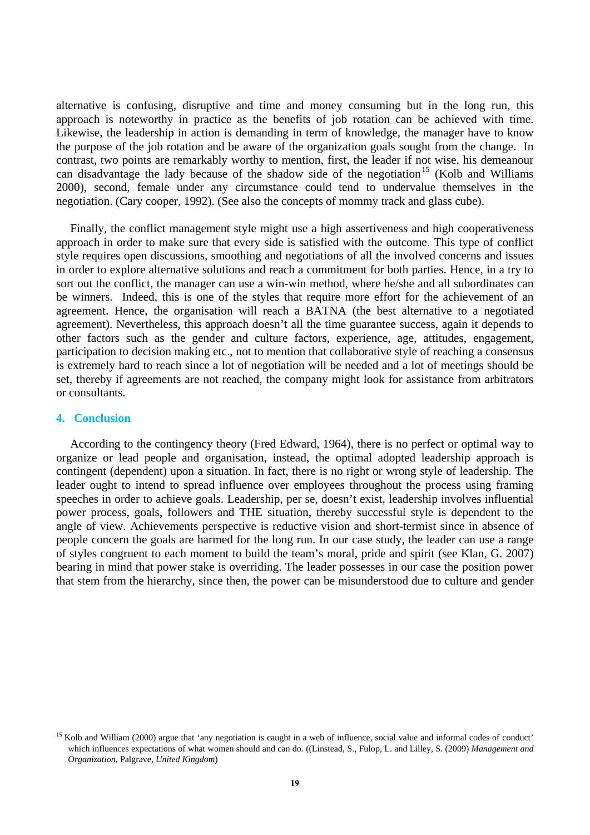alternative is confusing, disruptive and time and money consuming but in the long run, this approach is noteworthy in practice as the benefits of job rotation can be achieved with time. Likewise, the leadership in action is demanding in term of knowledge, the manager have to know the purpose of the job rotation and be aware of the organization goals sought from the change. In contrast, two points are remarkably worthy to mention, first, the leader if not wise, his demeanour can disadvantage the lady because of the shadow side of the negotiation<sup>[15](#page-7-0)</sup> (Kolb and Williams 2000), second, female under any circumstance could tend to undervalue themselves in the negotiation. (Cary cooper, 1992). (See also the concepts of mommy track and glass cube).

Finally, the conflict management style might use a high assertiveness and high cooperativeness approach in order to make sure that every side is satisfied with the outcome. This type of conflict style requires open discussions, smoothing and negotiations of all the involved concerns and issues in order to explore alternative solutions and reach a commitment for both parties. Hence, in a try to sort out the conflict, the manager can use a win-win method, where he/she and all subordinates can be winners. Indeed, this is one of the styles that require more effort for the achievement of an agreement. Hence, the organisation will reach a BATNA (the best alternative to a negotiated agreement). Nevertheless, this approach doesn't all the time guarantee success, again it depends to other factors such as the gender and culture factors, experience, age, attitudes, engagement, participation to decision making etc., not to mention that collaborative style of reaching a consensus is extremely hard to reach since a lot of negotiation will be needed and a lot of meetings should be set, thereby if agreements are not reached, the company might look for assistance from arbitrators or consultants.

#### **4. Conclusion**

According to the contingency theory (Fred Edward, 1964), there is no perfect or optimal way to organize or lead people and organisation, instead, the optimal adopted leadership approach is contingent (dependent) upon a situation. In fact, there is no right or wrong style of leadership. The leader ought to intend to spread influence over employees throughout the process using framing speeches in order to achieve goals. Leadership, per se, doesn't exist, leadership involves influential power process, goals, followers and THE situation, thereby successful style is dependent to the angle of view. Achievements perspective is reductive vision and short-termist since in absence of people concern the goals are harmed for the long run. In our case study, the leader can use a range of styles congruent to each moment to build the team's moral, pride and spirit (see Klan, G. 2007) bearing in mind that power stake is overriding. The leader possesses in our case the position power that stem from the hierarchy, since then, the power can be misunderstood due to culture and gender

<span id="page-7-0"></span> $15$  Kolb and William (2000) argue that 'any negotiation is caught in a web of influence, social value and informal codes of conduct' which influences expectations of what women should and can do. ((Linstead, S., Fulop, L. and Lilley, S. (2009) *Management and Organization*, Palgrave, *United Kingdom*)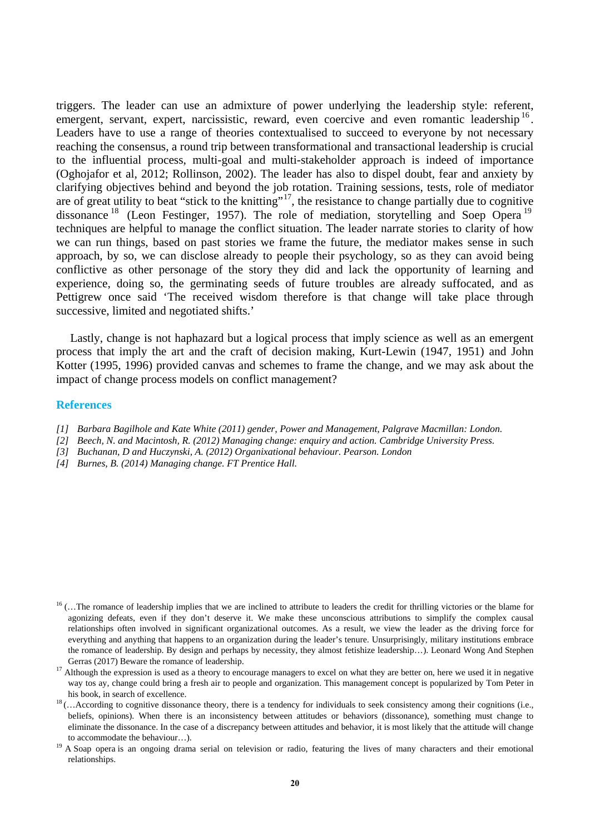triggers. The leader can use an admixture of power underlying the leadership style: referent, emergent, servant, expert, narcissistic, reward, even coercive and even romantic leadership <sup>[16](#page-8-0)</sup>. Leaders have to use a range of theories contextualised to succeed to everyone by not necessary reaching the consensus, a round trip between transformational and transactional leadership is crucial to the influential process, multi-goal and multi-stakeholder approach is indeed of importance (Oghojafor et al, 2012; Rollinson, 2002). The leader has also to dispel doubt, fear and anxiety by clarifying objectives behind and beyond the job rotation. Training sessions, tests, role of mediator are of great utility to beat "stick to the knitting"<sup>[17](#page-8-1)</sup>, the resistance to change partially due to cognitive dissonance <sup>[18](#page-8-2)</sup> (Leon Festinger, [19](#page-8-3)57). The role of mediation, storytelling and Soep Opera<sup>19</sup> techniques are helpful to manage the conflict situation. The leader narrate stories to clarity of how we can run things, based on past stories we frame the future, the mediator makes sense in such approach, by so, we can disclose already to people their psychology, so as they can avoid being conflictive as other personage of the story they did and lack the opportunity of learning and experience, doing so, the germinating seeds of future troubles are already suffocated, and as Pettigrew once said 'The received wisdom therefore is that change will take place through successive, limited and negotiated shifts.'

Lastly, change is not haphazard but a logical process that imply science as well as an emergent process that imply the art and the craft of decision making, Kurt-Lewin (1947, 1951) and John Kotter (1995, 1996) provided canvas and schemes to frame the change, and we may ask about the impact of change process models on conflict management?

#### **References**

- *[1] Barbara Bagilhole and Kate White (2011) gender, Power and Management, Palgrave Macmillan: London.*
- *[2] Beech, N. and Macintosh, R. (2012) Managing change: enquiry and action. Cambridge University Press.*
- *[3] Buchanan, D and Huczynski, A. (2012) Organixational behaviour. Pearson. London*
- *[4] Burnes, B. (2014) Managing change. FT Prentice Hall.*

<span id="page-8-0"></span> $16$  (... The romance of leadership implies that we are inclined to attribute to leaders the credit for thrilling victories or the blame for agonizing defeats, even if they don't deserve it. We make these unconscious attributions to simplify the complex causal relationships often involved in significant organizational outcomes. As a result, we view the leader as the driving force for everything and anything that happens to an organization during the leader's tenure. Unsurprisingly, military institutions embrace the romance of leadership. By design and perhaps by necessity, they almost fetishize leadership...). [Leonard Wong](https://warontherocks.com/author/leonard-wong/) And [Stephen](https://warontherocks.com/author/stephen-gerras/) Gerras (2017) Beware the romance of leadership.

<span id="page-8-1"></span> $^{17}$  Although the expression is used as a theory to encourage managers to excel on what they are better on, here we used it in negative way tos ay, change could bring a fresh air to people and organization. This management concept is popularized by Tom Peter in his book, in search of excellence.

<span id="page-8-2"></span> $18$  (... According to cognitive dissonance theory, there is a tendency for individuals to seek consistency among their cognitions (i.e., beliefs, opinions). When there is an inconsistency between attitudes or behaviors (dissonance), something must change to eliminate the dissonance. In the case of a discrepancy between attitudes and behavior, it is most likely that the attitude will change to accommodate the behaviour…).

<span id="page-8-3"></span><sup>&</sup>lt;sup>19</sup> A Soap opera is an ongoing drama serial on television or radio, featuring the lives of many characters and their emotional relationships.